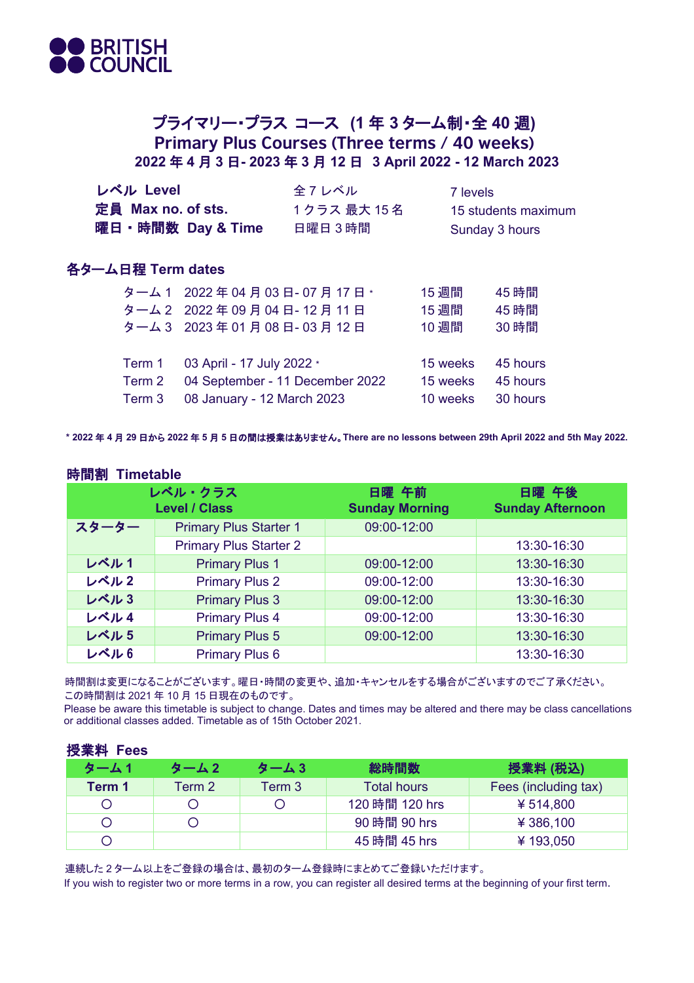

## プライマリー・プラス コース **(1** 年 **3** ターム制・全 **40** 週**) Primary Plus Courses (Three terms / 40 weeks) 2022** 年 **4** 月 **3** 日**- 2023** 年 **3** 月 **12** 日 **3 April 2022 - 12 March 2023**

| レベル Level<br>定員 Max no. of sts. | 曜日 · 時間数 Day & Time             | 全7レベル<br>1クラス 最大 15名<br>日曜日3時間 | 7 levels | 15 students maximum<br>Sunday 3 hours |  |
|---------------------------------|---------------------------------|--------------------------------|----------|---------------------------------------|--|
| 各ターム日程 Term dates               |                                 |                                |          |                                       |  |
|                                 | ターム 1 2022年04月03日-07月17日*       |                                | 15 週間    | 45 時間                                 |  |
|                                 | ターム 2 2022年09月04日-12月11日        |                                | 15 週間    | 45 時間                                 |  |
|                                 | ターム 3 2023年01月08日-03月12日        |                                | 10 週間    | 30 時間                                 |  |
|                                 |                                 |                                |          |                                       |  |
| Term 1                          | 03 April - 17 July 2022 *       |                                | 15 weeks | 45 hours                              |  |
| Term 2                          | 04 September - 11 December 2022 |                                | 15 weeks | 45 hours                              |  |
| Term 3                          | 08 January - 12 March 2023      |                                | 10 weeks | 30 hours                              |  |

**\* 2022** 年 **4** 月 **29** 日から **2022** 年 **5** 月 **5** 日の間は授業はありません。**There are no lessons between 29th April 2022 and 5th May 2022.**

## 時間割 **Timetable**

授業料 **Fees**

| レベル・クラス<br><b>Level / Class</b> |                               | 日曜 午前<br><b>Sunday Morning</b> | 日曜 午後<br><b>Sunday Afternoon</b> |
|---------------------------------|-------------------------------|--------------------------------|----------------------------------|
| スターター                           | <b>Primary Plus Starter 1</b> | 09:00-12:00                    |                                  |
|                                 | <b>Primary Plus Starter 2</b> |                                | 13:30-16:30                      |
| レベル1                            | <b>Primary Plus 1</b>         | 09:00-12:00                    | 13:30-16:30                      |
| レベル2                            | <b>Primary Plus 2</b>         | 09:00-12:00                    | 13:30-16:30                      |
| レベル3                            | <b>Primary Plus 3</b>         | 09:00-12:00                    | 13:30-16:30                      |
| レベル4                            | <b>Primary Plus 4</b>         | 09:00-12:00                    | 13:30-16:30                      |
| レベル5                            | <b>Primary Plus 5</b>         | 09:00-12:00                    | 13:30-16:30                      |
| レベル6                            | <b>Primary Plus 6</b>         |                                | 13:30-16:30                      |

 時間割は変更になることがございます。曜日・時間の変更や、追加・キャンセルをする場合がございますのでご了承ください。 この時間割は 2021 年 10 月 15 日現在のものです。

 Please be aware this timetable is subject to change. Dates and times may be altered and there may be class cancellations or additional classes added. Timetable as of 15th October 2021.

| <b>反耒科 Fees</b> |        |        |                    |                      |
|-----------------|--------|--------|--------------------|----------------------|
| ターム1            | ターム2   | ターム3   | 総時間数               | 授業料 (税込)             |
| Term 1          | Term 2 | Term 3 | <b>Total hours</b> | Fees (including tax) |
|                 |        |        | 120 時間 120 hrs     | ¥514,800             |
|                 |        |        | 90 時間 90 hrs       | ¥ 386,100            |
|                 |        |        | 45 時間 45 hrs       | ¥193,050             |

連続した 2 ターム以上をご登録の場合は、最初のターム登録時にまとめてご登録いただけます。

If you wish to register two or more terms in a row, you can register all desired terms at the beginning of your first term.